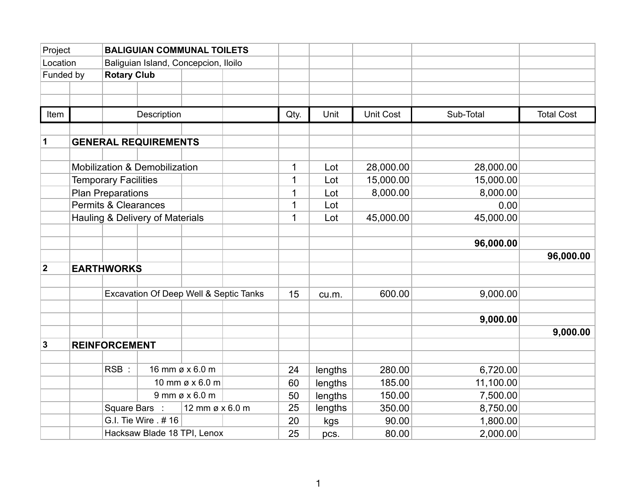| Project        |  | <b>BALIGUIAN COMMUNAL TOILETS</b>      |                               |                 |             |             |           |           |           |                   |
|----------------|--|----------------------------------------|-------------------------------|-----------------|-------------|-------------|-----------|-----------|-----------|-------------------|
| Location       |  | Baliguian Island, Concepcion, Iloilo   |                               |                 |             |             |           |           |           |                   |
| Funded by      |  | <b>Rotary Club</b>                     |                               |                 |             |             |           |           |           |                   |
|                |  |                                        |                               |                 |             |             |           |           |           |                   |
|                |  |                                        |                               |                 |             |             |           |           |           |                   |
| Item           |  |                                        | Description                   |                 |             | Qty.        | Unit      | Unit Cost | Sub-Total | <b>Total Cost</b> |
|                |  |                                        |                               |                 |             |             |           |           |           |                   |
| 1              |  |                                        | <b>GENERAL REQUIREMENTS</b>   |                 |             |             |           |           |           |                   |
|                |  |                                        | Mobilization & Demobilization |                 |             | 1           | Lot       | 28,000.00 | 28,000.00 |                   |
|                |  | <b>Temporary Facilities</b>            |                               |                 | $\mathbf 1$ | Lot         | 15,000.00 | 15,000.00 |           |                   |
|                |  | <b>Plan Preparations</b>               |                               |                 |             | 1           | Lot       | 8,000.00  | 8,000.00  |                   |
|                |  | <b>Permits &amp; Clearances</b>        |                               |                 |             | $\mathbf 1$ | Lot       |           | 0.00      |                   |
|                |  | Hauling & Delivery of Materials        |                               |                 |             | $\mathbf 1$ | Lot       | 45,000.00 | 45,000.00 |                   |
|                |  |                                        |                               |                 |             |             |           |           |           |                   |
|                |  |                                        |                               |                 |             |             |           |           | 96,000.00 |                   |
|                |  |                                        |                               |                 |             |             |           |           |           | 96,000.00         |
| $\overline{2}$ |  | <b>EARTHWORKS</b>                      |                               |                 |             |             |           |           |           |                   |
|                |  |                                        |                               |                 |             |             |           |           |           |                   |
|                |  | Excavation Of Deep Well & Septic Tanks |                               |                 | 15          | cu.m.       | 600.00    | 9,000.00  |           |                   |
|                |  |                                        |                               |                 |             |             |           |           |           |                   |
|                |  |                                        |                               |                 |             |             |           |           | 9,000.00  |                   |
|                |  |                                        |                               |                 |             |             |           |           |           | 9,000.00          |
| $\mathbf{3}$   |  | <b>REINFORCEMENT</b>                   |                               |                 |             |             |           |           |           |                   |
|                |  |                                        |                               |                 |             |             |           |           |           |                   |
|                |  | RSB:                                   |                               | 16 mm ø x 6.0 m |             | 24          | lengths   | 280.00    | 6,720.00  |                   |
|                |  | 10 mm ø x 6.0 m                        |                               |                 | 60          | lengths     | 185.00    | 11,100.00 |           |                   |
|                |  | $9$ mm ø x 6.0 m                       |                               |                 | 50          | lengths     | 150.00    | 7,500.00  |           |                   |
|                |  | Square Bars :                          |                               | 12 mm ø x 6.0 m |             | 25          | lengths   | 350.00    | 8,750.00  |                   |
|                |  |                                        | G.I. Tie Wire . # 16          |                 |             | 20          | kgs       | 90.00     | 1,800.00  |                   |
|                |  | Hacksaw Blade 18 TPI, Lenox            |                               |                 |             | 25          | pcs.      | 80.00     | 2,000.00  |                   |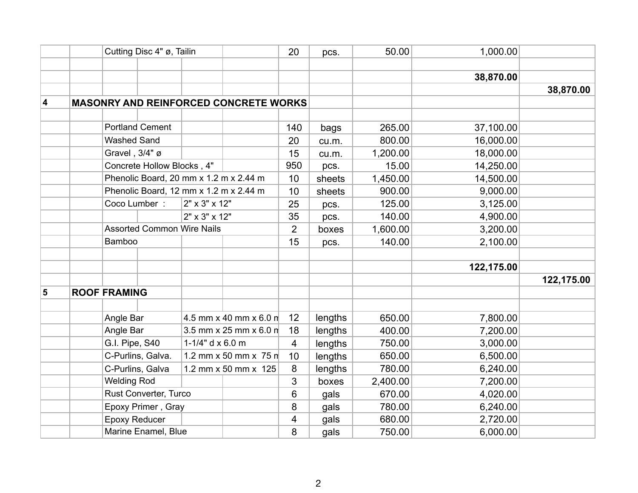|   |                                                        | Cutting Disc 4" ø, Tailin                                                            |                  |                           |                | pcs.    | 50.00    | 1,000.00   |            |
|---|--------------------------------------------------------|--------------------------------------------------------------------------------------|------------------|---------------------------|----------------|---------|----------|------------|------------|
|   |                                                        |                                                                                      |                  |                           |                |         |          |            |            |
|   |                                                        |                                                                                      |                  |                           |                |         |          | 38,870.00  |            |
|   |                                                        |                                                                                      |                  |                           |                |         |          |            | 38,870.00  |
| 4 |                                                        | <b>MASONRY AND REINFORCED CONCRETE WORKS</b>                                         |                  |                           |                |         |          |            |            |
|   |                                                        |                                                                                      |                  |                           |                |         |          |            |            |
|   |                                                        | <b>Portland Cement</b>                                                               |                  |                           | 140            | bags    | 265.00   | 37,100.00  |            |
|   |                                                        | <b>Washed Sand</b>                                                                   |                  |                           | 20             | cu.m.   | 800.00   | 16,000.00  |            |
|   |                                                        | Gravel, 3/4" ø                                                                       |                  |                           | 15             | cu.m.   | 1,200.00 | 18,000.00  |            |
|   |                                                        | Concrete Hollow Blocks, 4"                                                           |                  |                           | 950            | pcs.    | 15.00    | 14,250.00  |            |
|   |                                                        | Phenolic Board, 20 mm x 1.2 m x 2.44 m                                               |                  |                           | 10             | sheets  | 1,450.00 | 14,500.00  |            |
|   | Phenolic Board, 12 mm x 1.2 m x 2.44 m<br>Coco Lumber: |                                                                                      |                  |                           | 10             | sheets  | 900.00   | 9,000.00   |            |
|   |                                                        |                                                                                      | 2" x 3" x 12"    |                           | 25             | pcs.    | 125.00   | 3,125.00   |            |
|   |                                                        |                                                                                      |                  | 2" x 3" x 12"             |                | pcs.    | 140.00   | 4,900.00   |            |
|   |                                                        | <b>Assorted Common Wire Nails</b><br><b>Bamboo</b>                                   |                  |                           | $\overline{2}$ | boxes   | 1,600.00 | 3,200.00   |            |
|   |                                                        |                                                                                      |                  |                           | 15             | pcs.    | 140.00   | 2,100.00   |            |
|   |                                                        |                                                                                      |                  |                           |                |         |          |            |            |
|   |                                                        |                                                                                      |                  |                           |                |         |          | 122,175.00 |            |
|   |                                                        |                                                                                      |                  |                           |                |         |          |            | 122,175.00 |
| 5 |                                                        | <b>ROOF FRAMING</b>                                                                  |                  |                           |                |         |          |            |            |
|   |                                                        |                                                                                      |                  |                           |                |         |          |            |            |
|   |                                                        | Angle Bar                                                                            |                  | 4.5 mm x 40 mm x 6.0 m    | 12             | lengths | 650.00   | 7,800.00   |            |
|   |                                                        | Angle Bar                                                                            |                  | 3.5 mm x 25 mm x 6.0 m    | 18             | lengths | 400.00   | 7,200.00   |            |
|   |                                                        | G.I. Pipe, S40                                                                       | 1-1/4" d x 6.0 m |                           | 4              | lengths | 750.00   | 3,000.00   |            |
|   |                                                        | C-Purlins, Galva.<br>C-Purlins, Galva<br><b>Welding Rod</b><br>Rust Converter, Turco |                  | 1.2 mm $x$ 50 mm $x$ 75 m | 10             | lengths | 650.00   | 6,500.00   |            |
|   |                                                        |                                                                                      |                  | 1.2 mm x 50 mm x 125      | 8              | lengths | 780.00   | 6,240.00   |            |
|   |                                                        |                                                                                      |                  |                           | 3              | boxes   | 2,400.00 | 7,200.00   |            |
|   |                                                        |                                                                                      |                  |                           | 6              | gals    | 670.00   | 4,020.00   |            |
|   |                                                        | Epoxy Primer, Gray                                                                   |                  |                           | 8              | gals    | 780.00   | 6,240.00   |            |
|   |                                                        | <b>Epoxy Reducer</b>                                                                 |                  |                           | 4              | gals    | 680.00   | 2,720.00   |            |
|   | Marine Enamel, Blue                                    |                                                                                      |                  | 8                         | gals           | 750.00  | 6,000.00 |            |            |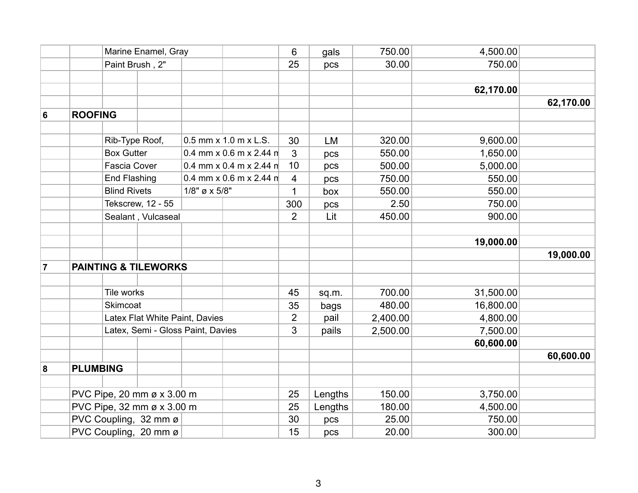|                |                            | Marine Enamel, Gray |                                   |                                                                                                            |                       | 6              | gals      | 750.00    | 4,500.00  |           |
|----------------|----------------------------|---------------------|-----------------------------------|------------------------------------------------------------------------------------------------------------|-----------------------|----------------|-----------|-----------|-----------|-----------|
|                |                            | Paint Brush, 2"     |                                   |                                                                                                            |                       | 25             | pcs       | 30.00     | 750.00    |           |
|                |                            |                     |                                   |                                                                                                            |                       |                |           |           |           |           |
|                |                            |                     |                                   |                                                                                                            |                       |                |           |           | 62,170.00 |           |
|                |                            |                     |                                   |                                                                                                            |                       |                |           |           |           | 62,170.00 |
| 6              | <b>ROOFING</b>             |                     |                                   |                                                                                                            |                       |                |           |           |           |           |
|                |                            |                     |                                   |                                                                                                            |                       |                |           |           |           |           |
|                |                            | Rib-Type Roof,      |                                   |                                                                                                            | 0.5 mm x 1.0 m x L.S. | 30             | LM        | 320.00    | 9,600.00  |           |
|                |                            | <b>Box Gutter</b>   |                                   | 0.4 mm x 0.6 m x 2.44 n<br>0.4 mm x 0.4 m x 2.44 n<br>0.4 mm x 0.6 m x 2.44 $\text{m}$<br>$1/8$ " ø x 5/8" |                       | $\mathbf{3}$   | pcs       | 550.00    | 1,650.00  |           |
|                |                            | <b>Fascia Cover</b> |                                   |                                                                                                            |                       | 10             | pcs       | 500.00    | 5,000.00  |           |
|                |                            | <b>End Flashing</b> |                                   |                                                                                                            |                       | 4              | pcs       | 750.00    | 550.00    |           |
|                |                            | <b>Blind Rivets</b> |                                   |                                                                                                            |                       | $\mathbf{1}$   | box       | 550.00    | 550.00    |           |
|                | Tekscrew, 12 - 55          |                     |                                   |                                                                                                            | 300                   | pcs            | 2.50      | 750.00    |           |           |
|                |                            |                     | Sealant, Vulcaseal                |                                                                                                            |                       | 2              | Lit       | 450.00    | 900.00    |           |
|                |                            |                     |                                   |                                                                                                            |                       |                |           |           |           |           |
|                |                            |                     |                                   |                                                                                                            |                       |                |           |           | 19,000.00 |           |
|                |                            |                     |                                   |                                                                                                            |                       |                |           |           |           | 19,000.00 |
| $\overline{7}$ |                            |                     | <b>PAINTING &amp; TILEWORKS</b>   |                                                                                                            |                       |                |           |           |           |           |
|                |                            |                     |                                   |                                                                                                            |                       |                |           |           |           |           |
|                |                            | Tile works          |                                   |                                                                                                            | 45                    | sq.m.          | 700.00    | 31,500.00 |           |           |
|                | Skimcoat                   |                     |                                   | 35                                                                                                         | bags                  | 480.00         | 16,800.00 |           |           |           |
|                |                            |                     | Latex Flat White Paint, Davies    |                                                                                                            |                       | $\overline{2}$ | pail      | 2,400.00  | 4,800.00  |           |
|                |                            |                     | Latex, Semi - Gloss Paint, Davies |                                                                                                            |                       | $\mathfrak{S}$ | pails     | 2,500.00  | 7,500.00  |           |
|                |                            |                     |                                   |                                                                                                            |                       |                |           |           | 60,600.00 |           |
|                |                            |                     |                                   |                                                                                                            |                       |                |           |           |           | 60,600.00 |
| 8              | <b>PLUMBING</b>            |                     |                                   |                                                                                                            |                       |                |           |           |           |           |
|                |                            |                     |                                   |                                                                                                            |                       |                |           |           |           |           |
|                | PVC Pipe, 20 mm ø x 3.00 m |                     |                                   |                                                                                                            | 25                    | Lengths        | 150.00    | 3,750.00  |           |           |
|                | PVC Pipe, 32 mm ø x 3.00 m |                     |                                   |                                                                                                            |                       | 25             | Lengths   | 180.00    | 4,500.00  |           |
|                | PVC Coupling, 32 mm ø      |                     |                                   |                                                                                                            |                       | 30             | pcs       | 25.00     | 750.00    |           |
|                | PVC Coupling, 20 mm ø      |                     |                                   |                                                                                                            |                       | 15             | pcs       | 20.00     | 300.00    |           |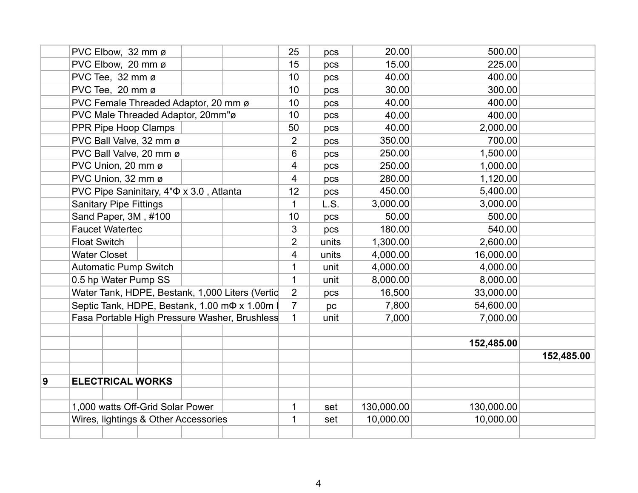|   |                                                 | PVC Elbow, 32 mm ø            |                                               |  |                                                     | 25             | pcs      | 20.00      | 500.00     |            |
|---|-------------------------------------------------|-------------------------------|-----------------------------------------------|--|-----------------------------------------------------|----------------|----------|------------|------------|------------|
|   |                                                 | PVC Elbow, 20 mm ø            |                                               |  |                                                     | 15             | pcs      | 15.00      | 225.00     |            |
|   |                                                 | PVC Tee, 32 mm ø              |                                               |  |                                                     | 10             | pcs      | 40.00      | 400.00     |            |
|   |                                                 | PVC Tee, 20 mm ø              |                                               |  |                                                     | 10             | pcs      | 30.00      | 300.00     |            |
|   | PVC Female Threaded Adaptor, 20 mm ø            |                               |                                               |  | 10                                                  | pcs            | 40.00    | 400.00     |            |            |
|   | PVC Male Threaded Adaptor, 20mm"ø               |                               |                                               |  |                                                     |                | pcs      | 40.00      | 400.00     |            |
|   | PPR Pipe Hoop Clamps                            |                               |                                               |  |                                                     | 50             | pcs      | 40.00      | 2,000.00   |            |
|   |                                                 |                               | PVC Ball Valve, 32 mm ø                       |  |                                                     | $\overline{2}$ | pcs      | 350.00     | 700.00     |            |
|   |                                                 |                               | PVC Ball Valve, 20 mm ø                       |  |                                                     | 6              | pcs      | 250.00     | 1,500.00   |            |
|   |                                                 | PVC Union, 20 mm ø            |                                               |  |                                                     | 4              | pcs      | 250.00     | 1,000.00   |            |
|   |                                                 | PVC Union, 32 mm ø            |                                               |  |                                                     | 4              | pcs      | 280.00     | 1,120.00   |            |
|   |                                                 |                               | PVC Pipe Saninitary, 4" $\Phi$ x 3.0, Atlanta |  |                                                     | 12             | pcs      | 450.00     | 5,400.00   |            |
|   |                                                 | <b>Sanitary Pipe Fittings</b> |                                               |  |                                                     | 1              | L.S.     | 3,000.00   | 3,000.00   |            |
|   |                                                 |                               | Sand Paper, 3M, #100                          |  |                                                     | 10             | pcs      | 50.00      | 500.00     |            |
|   |                                                 | <b>Faucet Watertec</b>        |                                               |  |                                                     | 3              | pcs      | 180.00     | 540.00     |            |
|   | <b>Float Switch</b>                             |                               |                                               |  |                                                     | $\overline{2}$ | units    | 1,300.00   | 2,600.00   |            |
|   | <b>Water Closet</b>                             |                               |                                               |  |                                                     | 4              | units    | 4,000.00   | 16,000.00  |            |
|   | <b>Automatic Pump Switch</b>                    |                               |                                               |  | 1                                                   | unit           | 4,000.00 | 4,000.00   |            |            |
|   | 0.5 hp Water Pump SS                            |                               |                                               |  |                                                     | $\mathbf{1}$   | unit     | 8,000.00   | 8,000.00   |            |
|   | Water Tank, HDPE, Bestank, 1,000 Liters (Vertic |                               |                                               |  |                                                     | $\overline{2}$ | pcs      | 16,500     | 33,000.00  |            |
|   |                                                 |                               |                                               |  | Septic Tank, HDPE, Bestank, 1.00 m $\Phi$ x 1.00m l | $\overline{7}$ | pc       | 7,800      | 54,600.00  |            |
|   |                                                 |                               |                                               |  | Fasa Portable High Pressure Washer, Brushless       | $\mathbf 1$    | unit     | 7,000      | 7,000.00   |            |
|   |                                                 |                               |                                               |  |                                                     |                |          |            |            |            |
|   |                                                 |                               |                                               |  |                                                     |                |          |            | 152,485.00 |            |
|   |                                                 |                               |                                               |  |                                                     |                |          |            |            | 152,485.00 |
|   |                                                 |                               |                                               |  |                                                     |                |          |            |            |            |
| 9 | <b>ELECTRICAL WORKS</b>                         |                               |                                               |  |                                                     |                |          |            |            |            |
|   |                                                 |                               |                                               |  |                                                     |                |          |            |            |            |
|   | 1,000 watts Off-Grid Solar Power                |                               |                                               |  |                                                     |                | set      | 130,000.00 | 130,000.00 |            |
|   | Wires, lightings & Other Accessories            |                               |                                               |  |                                                     |                | set      | 10,000.00  | 10,000.00  |            |
|   |                                                 |                               |                                               |  |                                                     |                |          |            |            |            |